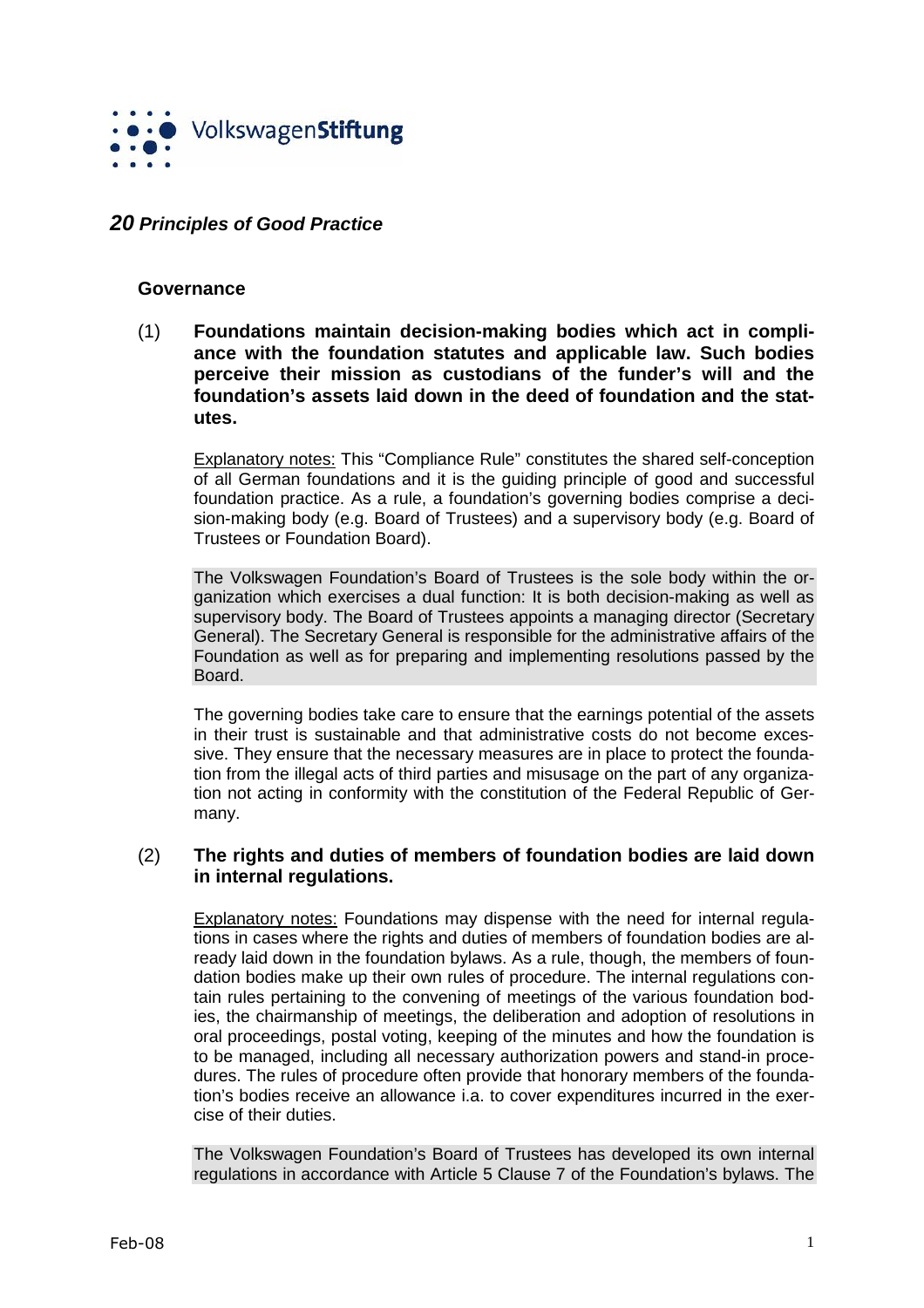

# **20 Principles of Good Practice**

#### **Governance**

(1) **Foundations maintain decision-making bodies which act in compliance with the foundation statutes and applicable law. Such bodies perceive their mission as custodians of the funder's will and the foundation's assets laid down in the deed of foundation and the statutes.**

Explanatory notes: This "Compliance Rule" constitutes the shared self-conception of all German foundations and it is the guiding principle of good and successful foundation practice. As a rule, a foundation's governing bodies comprise a decision-making body (e.g. Board of Trustees) and a supervisory body (e.g. Board of Trustees or Foundation Board).

The Volkswagen Foundation's Board of Trustees is the sole body within the organization which exercises a dual function: It is both decision-making as well as supervisory body. The Board of Trustees appoints a managing director (Secretary General). The Secretary General is responsible for the administrative affairs of the Foundation as well as for preparing and implementing resolutions passed by the **Board** 

The governing bodies take care to ensure that the earnings potential of the assets in their trust is sustainable and that administrative costs do not become excessive. They ensure that the necessary measures are in place to protect the foundation from the illegal acts of third parties and misusage on the part of any organization not acting in conformity with the constitution of the Federal Republic of Germany.

### (2) **The rights and duties of members of foundation bodies are laid down in internal regulations.**

Explanatory notes: Foundations may dispense with the need for internal regulations in cases where the rights and duties of members of foundation bodies are already laid down in the foundation bylaws. As a rule, though, the members of foundation bodies make up their own rules of procedure. The internal regulations contain rules pertaining to the convening of meetings of the various foundation bodies, the chairmanship of meetings, the deliberation and adoption of resolutions in oral proceedings, postal voting, keeping of the minutes and how the foundation is to be managed, including all necessary authorization powers and stand-in procedures. The rules of procedure often provide that honorary members of the foundation's bodies receive an allowance i.a. to cover expenditures incurred in the exercise of their duties.

The Volkswagen Foundation's Board of Trustees has developed its own internal regulations in accordance with Article 5 Clause 7 of the Foundation's bylaws. The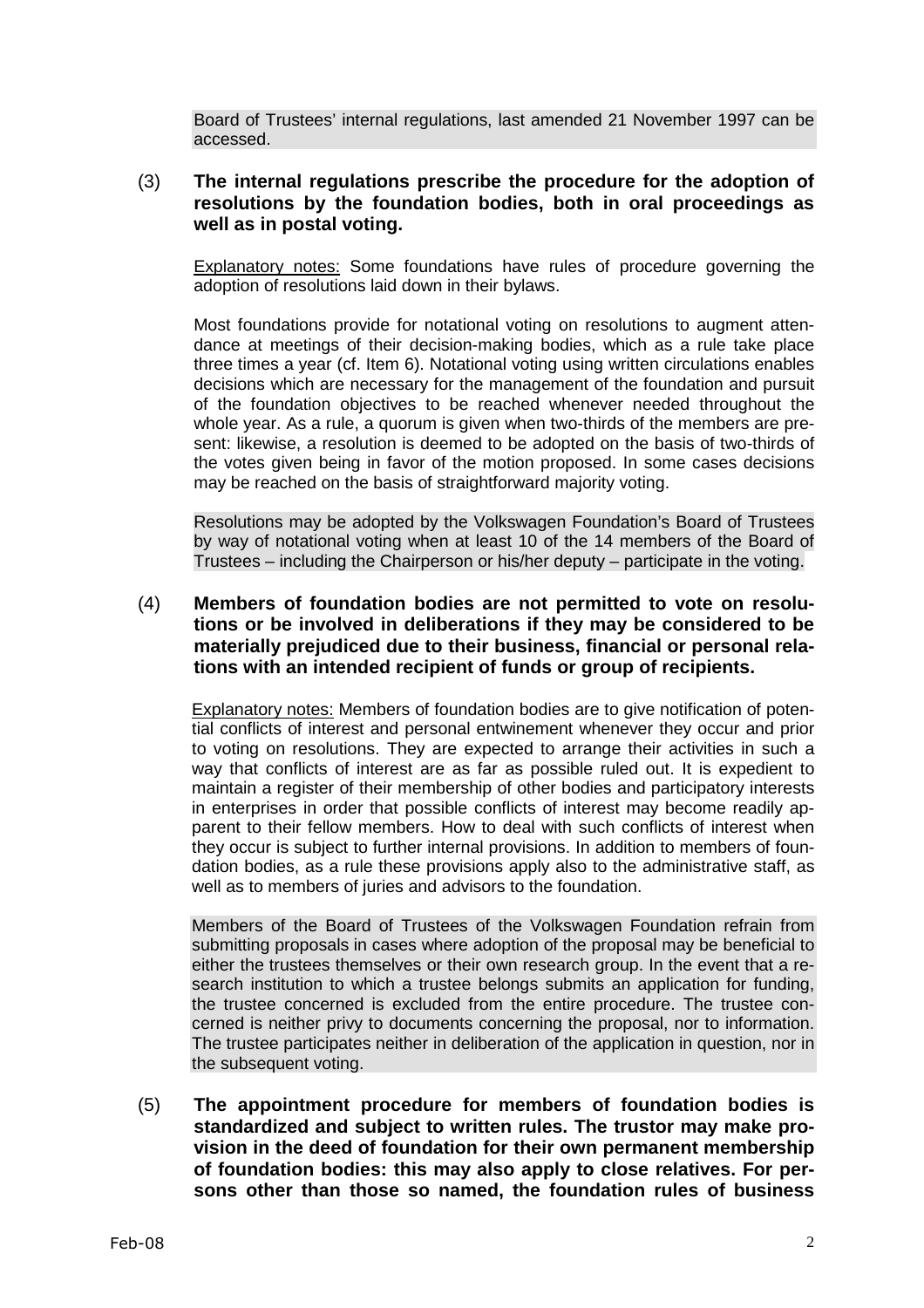Board of Trustees' internal regulations, last amended 21 November 1997 can be accessed.

# (3) **The internal regulations prescribe the procedure for the adoption of resolutions by the foundation bodies, both in oral proceedings as well as in postal voting.**

Explanatory notes: Some foundations have rules of procedure governing the adoption of resolutions laid down in their bylaws.

Most foundations provide for notational voting on resolutions to augment attendance at meetings of their decision-making bodies, which as a rule take place three times a year (cf. Item 6). Notational voting using written circulations enables decisions which are necessary for the management of the foundation and pursuit of the foundation objectives to be reached whenever needed throughout the whole year. As a rule, a quorum is given when two-thirds of the members are present: likewise, a resolution is deemed to be adopted on the basis of two-thirds of the votes given being in favor of the motion proposed. In some cases decisions may be reached on the basis of straightforward majority voting.

Resolutions may be adopted by the Volkswagen Foundation's Board of Trustees by way of notational voting when at least 10 of the 14 members of the Board of Trustees – including the Chairperson or his/her deputy – participate in the voting.

# (4) **Members of foundation bodies are not permitted to vote on resolutions or be involved in deliberations if they may be considered to be materially prejudiced due to their business, financial or personal relations with an intended recipient of funds or group of recipients.**

Explanatory notes: Members of foundation bodies are to give notification of potential conflicts of interest and personal entwinement whenever they occur and prior to voting on resolutions. They are expected to arrange their activities in such a way that conflicts of interest are as far as possible ruled out. It is expedient to maintain a register of their membership of other bodies and participatory interests in enterprises in order that possible conflicts of interest may become readily apparent to their fellow members. How to deal with such conflicts of interest when they occur is subject to further internal provisions. In addition to members of foundation bodies, as a rule these provisions apply also to the administrative staff, as well as to members of juries and advisors to the foundation.

Members of the Board of Trustees of the Volkswagen Foundation refrain from submitting proposals in cases where adoption of the proposal may be beneficial to either the trustees themselves or their own research group. In the event that a research institution to which a trustee belongs submits an application for funding, the trustee concerned is excluded from the entire procedure. The trustee concerned is neither privy to documents concerning the proposal, nor to information. The trustee participates neither in deliberation of the application in question, nor in the subsequent voting.

(5) **The appointment procedure for members of foundation bodies is standardized and subject to written rules. The trustor may make provision in the deed of foundation for their own permanent membership of foundation bodies: this may also apply to close relatives. For persons other than those so named, the foundation rules of business**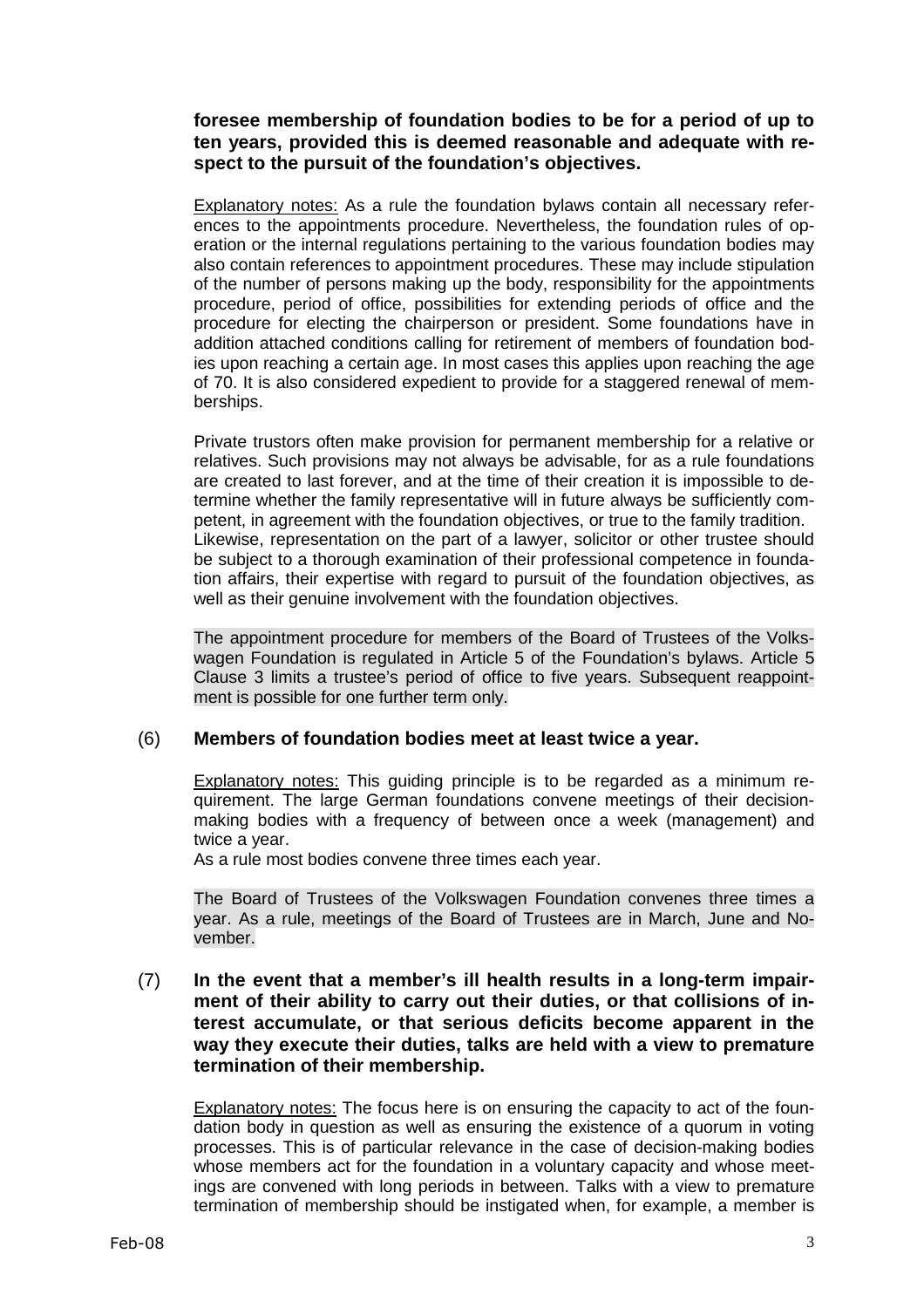**foresee membership of foundation bodies to be for a period of up to ten years, provided this is deemed reasonable and adequate with respect to the pursuit of the foundation's objectives.**

Explanatory notes: As a rule the foundation bylaws contain all necessary references to the appointments procedure. Nevertheless, the foundation rules of operation or the internal regulations pertaining to the various foundation bodies may also contain references to appointment procedures. These may include stipulation of the number of persons making up the body, responsibility for the appointments procedure, period of office, possibilities for extending periods of office and the procedure for electing the chairperson or president. Some foundations have in addition attached conditions calling for retirement of members of foundation bodies upon reaching a certain age. In most cases this applies upon reaching the age of 70. It is also considered expedient to provide for a staggered renewal of memberships.

Private trustors often make provision for permanent membership for a relative or relatives. Such provisions may not always be advisable, for as a rule foundations are created to last forever, and at the time of their creation it is impossible to determine whether the family representative will in future always be sufficiently competent, in agreement with the foundation objectives, or true to the family tradition. Likewise, representation on the part of a lawyer, solicitor or other trustee should be subject to a thorough examination of their professional competence in foundation affairs, their expertise with regard to pursuit of the foundation objectives, as well as their genuine involvement with the foundation objectives.

The appointment procedure for members of the Board of Trustees of the Volkswagen Foundation is regulated in Article 5 of the Foundation's bylaws. Article 5 Clause 3 limits a trustee's period of office to five years. Subsequent reappointment is possible for one further term only.

### (6) **Members of foundation bodies meet at least twice a year.**

Explanatory notes: This guiding principle is to be regarded as a minimum requirement. The large German foundations convene meetings of their decisionmaking bodies with a frequency of between once a week (management) and twice a year.

As a rule most bodies convene three times each year.

The Board of Trustees of the Volkswagen Foundation convenes three times a year. As a rule, meetings of the Board of Trustees are in March, June and November.

(7) **In the event that a member's ill health results in a long-term impairment of their ability to carry out their duties, or that collisions of interest accumulate, or that serious deficits become apparent in the way they execute their duties, talks are held with a view to premature termination of their membership.**

Explanatory notes: The focus here is on ensuring the capacity to act of the foundation body in question as well as ensuring the existence of a quorum in voting processes. This is of particular relevance in the case of decision-making bodies whose members act for the foundation in a voluntary capacity and whose meetings are convened with long periods in between. Talks with a view to premature termination of membership should be instigated when, for example, a member is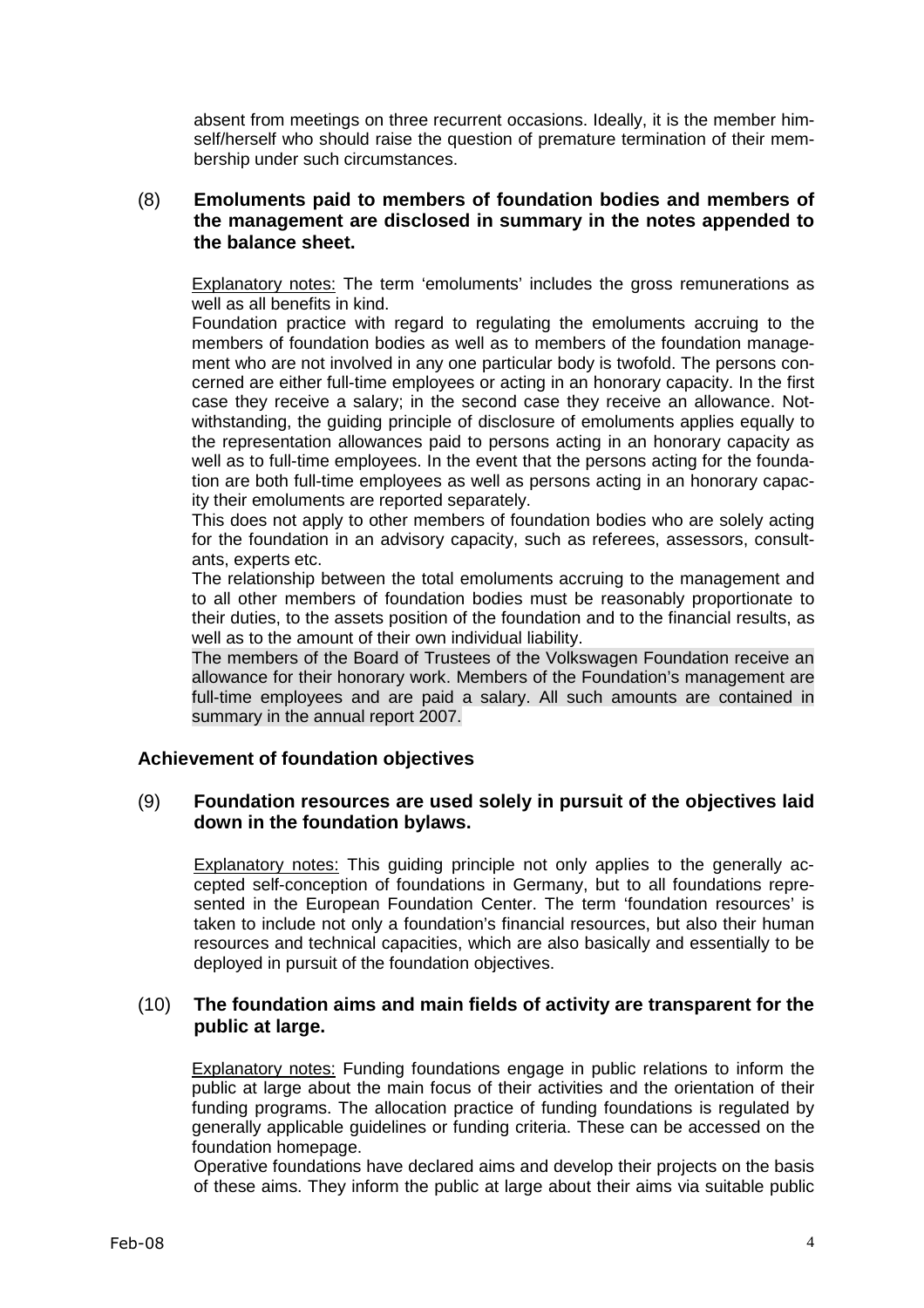absent from meetings on three recurrent occasions. Ideally, it is the member himself/herself who should raise the question of premature termination of their membership under such circumstances.

# (8) **Emoluments paid to members of foundation bodies and members of the management are disclosed in summary in the notes appended to the balance sheet.**

Explanatory notes: The term 'emoluments' includes the gross remunerations as well as all benefits in kind.

Foundation practice with regard to regulating the emoluments accruing to the members of foundation bodies as well as to members of the foundation management who are not involved in any one particular body is twofold. The persons concerned are either full-time employees or acting in an honorary capacity. In the first case they receive a salary; in the second case they receive an allowance. Notwithstanding, the guiding principle of disclosure of emoluments applies equally to the representation allowances paid to persons acting in an honorary capacity as well as to full-time employees. In the event that the persons acting for the foundation are both full-time employees as well as persons acting in an honorary capacity their emoluments are reported separately.

This does not apply to other members of foundation bodies who are solely acting for the foundation in an advisory capacity, such as referees, assessors, consultants, experts etc.

The relationship between the total emoluments accruing to the management and to all other members of foundation bodies must be reasonably proportionate to their duties, to the assets position of the foundation and to the financial results, as well as to the amount of their own individual liability.

The members of the Board of Trustees of the Volkswagen Foundation receive an allowance for their honorary work. Members of the Foundation's management are full-time employees and are paid a salary. All such amounts are contained in summary in the annual report 2007.

### **Achievement of foundation objectives**

# (9) **Foundation resources are used solely in pursuit of the objectives laid down in the foundation bylaws.**

Explanatory notes: This guiding principle not only applies to the generally accepted self-conception of foundations in Germany, but to all foundations represented in the European Foundation Center. The term 'foundation resources' is taken to include not only a foundation's financial resources, but also their human resources and technical capacities, which are also basically and essentially to be deployed in pursuit of the foundation objectives.

# (10) **The foundation aims and main fields of activity are transparent for the public at large.**

Explanatory notes: Funding foundations engage in public relations to inform the public at large about the main focus of their activities and the orientation of their funding programs. The allocation practice of funding foundations is regulated by generally applicable guidelines or funding criteria. These can be accessed on the foundation homepage.

Operative foundations have declared aims and develop their projects on the basis of these aims. They inform the public at large about their aims via suitable public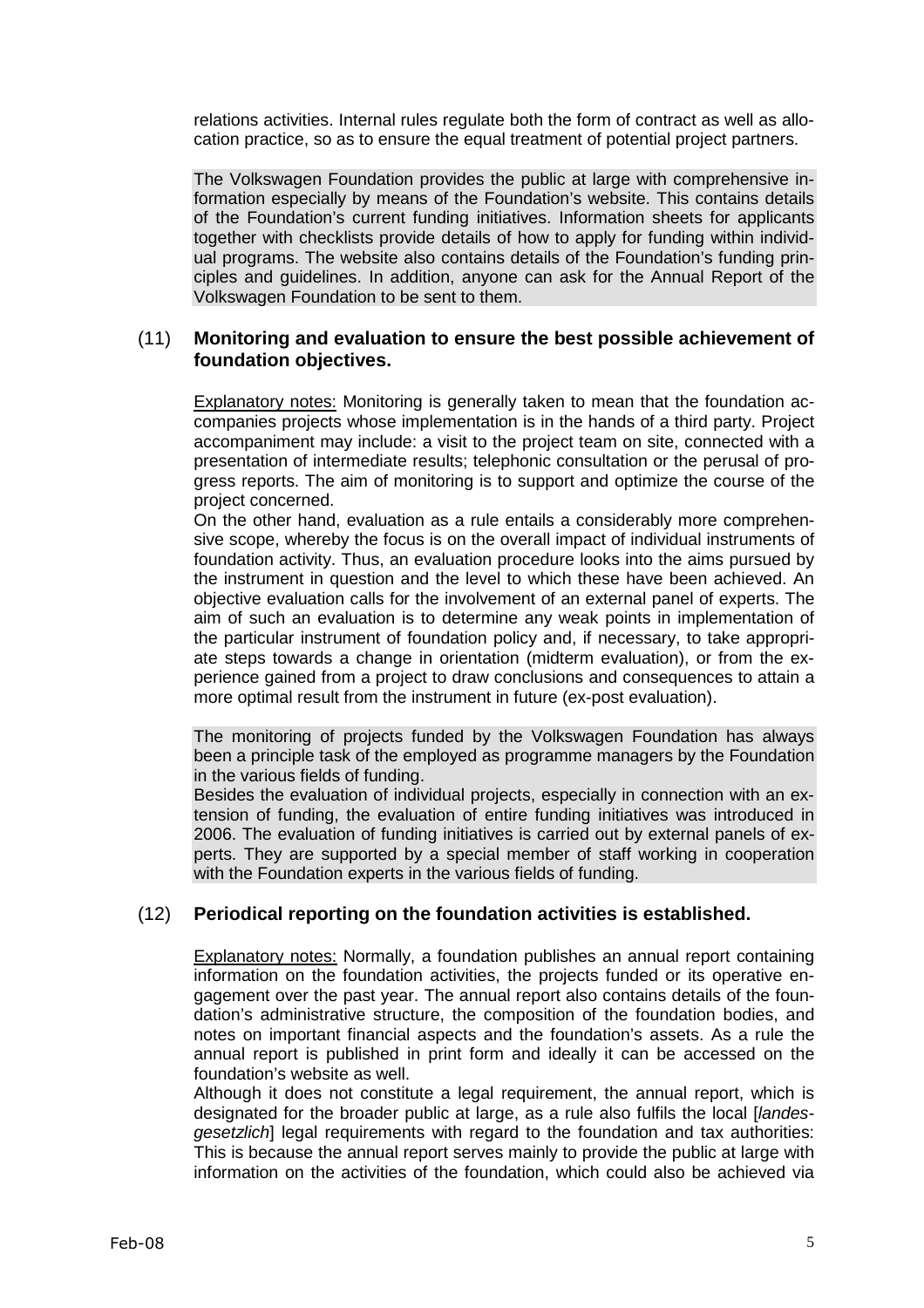relations activities. Internal rules regulate both the form of contract as well as allocation practice, so as to ensure the equal treatment of potential project partners.

The Volkswagen Foundation provides the public at large with comprehensive information especially by means of the Foundation's website. This contains details of the Foundation's current funding initiatives. Information sheets for applicants together with checklists provide details of how to apply for funding within individual programs. The website also contains details of the Foundation's funding principles and guidelines. In addition, anyone can ask for the Annual Report of the Volkswagen Foundation to be sent to them.

# (11) **Monitoring and evaluation to ensure the best possible achievement of foundation objectives.**

Explanatory notes: Monitoring is generally taken to mean that the foundation accompanies projects whose implementation is in the hands of a third party. Project accompaniment may include: a visit to the project team on site, connected with a presentation of intermediate results; telephonic consultation or the perusal of progress reports. The aim of monitoring is to support and optimize the course of the project concerned.

On the other hand, evaluation as a rule entails a considerably more comprehensive scope, whereby the focus is on the overall impact of individual instruments of foundation activity. Thus, an evaluation procedure looks into the aims pursued by the instrument in question and the level to which these have been achieved. An objective evaluation calls for the involvement of an external panel of experts. The aim of such an evaluation is to determine any weak points in implementation of the particular instrument of foundation policy and, if necessary, to take appropriate steps towards a change in orientation (midterm evaluation), or from the experience gained from a project to draw conclusions and consequences to attain a more optimal result from the instrument in future (ex-post evaluation).

The monitoring of projects funded by the Volkswagen Foundation has always been a principle task of the employed as programme managers by the Foundation in the various fields of funding.

Besides the evaluation of individual projects, especially in connection with an extension of funding, the evaluation of entire funding initiatives was introduced in 2006. The evaluation of funding initiatives is carried out by external panels of experts. They are supported by a special member of staff working in cooperation with the Foundation experts in the various fields of funding.

# (12) **Periodical reporting on the foundation activities is established.**

Explanatory notes: Normally, a foundation publishes an annual report containing information on the foundation activities, the projects funded or its operative engagement over the past year. The annual report also contains details of the foundation's administrative structure, the composition of the foundation bodies, and notes on important financial aspects and the foundation's assets. As a rule the annual report is published in print form and ideally it can be accessed on the foundation's website as well.

Although it does not constitute a legal requirement, the annual report, which is designated for the broader public at large, as a rule also fulfils the local [*landes*gesetzlich] legal requirements with regard to the foundation and tax authorities: This is because the annual report serves mainly to provide the public at large with information on the activities of the foundation, which could also be achieved via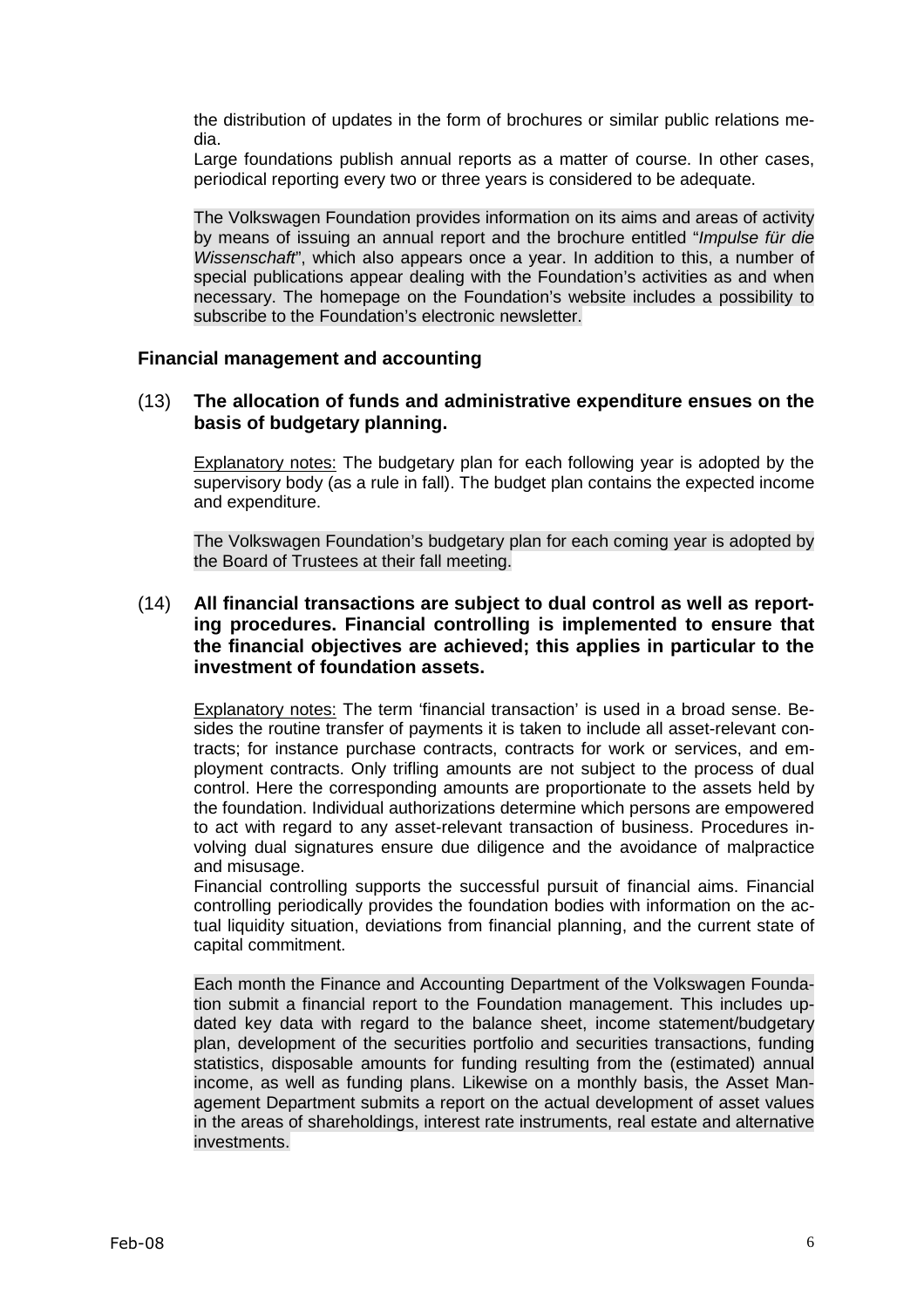the distribution of updates in the form of brochures or similar public relations media.

Large foundations publish annual reports as a matter of course. In other cases, periodical reporting every two or three years is considered to be adequate.

The Volkswagen Foundation provides information on its aims and areas of activity by means of issuing an annual report and the brochure entitled "*Impulse für die* Wissenschaft", which also appears once a year. In addition to this, a number of special publications appear dealing with the Foundation's activities as and when necessary. The homepage on the Foundation's website includes a possibility to subscribe to the Foundation's electronic newsletter.

### **Financial management and accounting**

### (13) **The allocation of funds and administrative expenditure ensues on the basis of budgetary planning.**

Explanatory notes: The budgetary plan for each following year is adopted by the supervisory body (as a rule in fall). The budget plan contains the expected income and expenditure.

The Volkswagen Foundation's budgetary plan for each coming year is adopted by the Board of Trustees at their fall meeting.

# (14) **All financial transactions are subject to dual control as well as reporting procedures. Financial controlling is implemented to ensure that the financial objectives are achieved; this applies in particular to the investment of foundation assets.**

Explanatory notes: The term 'financial transaction' is used in a broad sense. Besides the routine transfer of payments it is taken to include all asset-relevant contracts; for instance purchase contracts, contracts for work or services, and employment contracts. Only trifling amounts are not subject to the process of dual control. Here the corresponding amounts are proportionate to the assets held by the foundation. Individual authorizations determine which persons are empowered to act with regard to any asset-relevant transaction of business. Procedures involving dual signatures ensure due diligence and the avoidance of malpractice and misusage.

Financial controlling supports the successful pursuit of financial aims. Financial controlling periodically provides the foundation bodies with information on the actual liquidity situation, deviations from financial planning, and the current state of capital commitment.

Each month the Finance and Accounting Department of the Volkswagen Foundation submit a financial report to the Foundation management. This includes updated key data with regard to the balance sheet, income statement/budgetary plan, development of the securities portfolio and securities transactions, funding statistics, disposable amounts for funding resulting from the (estimated) annual income, as well as funding plans. Likewise on a monthly basis, the Asset Management Department submits a report on the actual development of asset values in the areas of shareholdings, interest rate instruments, real estate and alternative investments.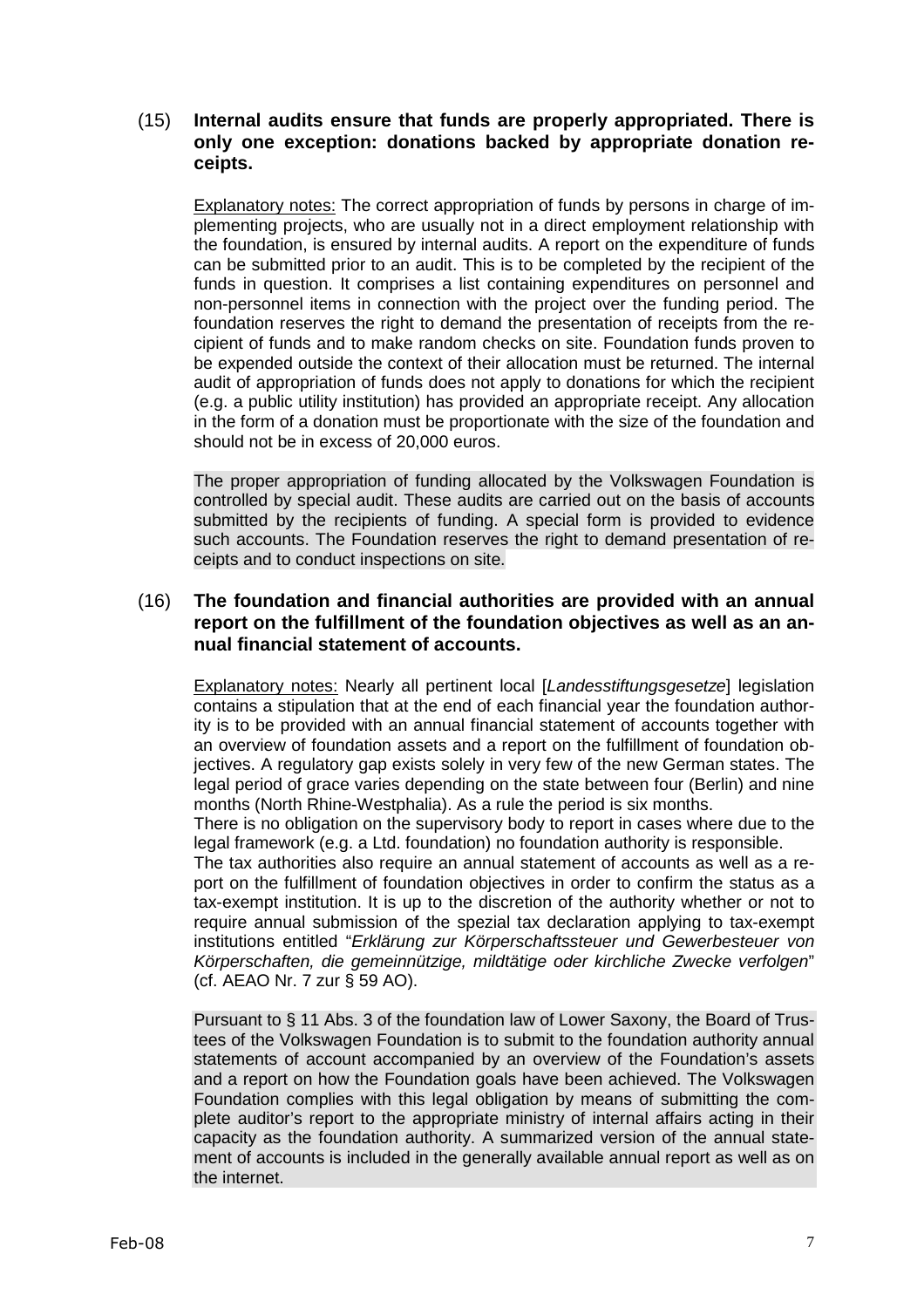# (15) **Internal audits ensure that funds are properly appropriated. There is only one exception: donations backed by appropriate donation receipts.**

Explanatory notes: The correct appropriation of funds by persons in charge of implementing projects, who are usually not in a direct employment relationship with the foundation, is ensured by internal audits. A report on the expenditure of funds can be submitted prior to an audit. This is to be completed by the recipient of the funds in question. It comprises a list containing expenditures on personnel and non-personnel items in connection with the project over the funding period. The foundation reserves the right to demand the presentation of receipts from the recipient of funds and to make random checks on site. Foundation funds proven to be expended outside the context of their allocation must be returned. The internal audit of appropriation of funds does not apply to donations for which the recipient (e.g. a public utility institution) has provided an appropriate receipt. Any allocation in the form of a donation must be proportionate with the size of the foundation and should not be in excess of 20,000 euros.

The proper appropriation of funding allocated by the Volkswagen Foundation is controlled by special audit. These audits are carried out on the basis of accounts submitted by the recipients of funding. A special form is provided to evidence such accounts. The Foundation reserves the right to demand presentation of receipts and to conduct inspections on site.

# (16) **The foundation and financial authorities are provided with an annual report on the fulfillment of the foundation objectives as well as an annual financial statement of accounts.**

Explanatory notes: Nearly all pertinent local [Landesstiftungsgesetze] legislation contains a stipulation that at the end of each financial year the foundation authority is to be provided with an annual financial statement of accounts together with an overview of foundation assets and a report on the fulfillment of foundation objectives. A regulatory gap exists solely in very few of the new German states. The legal period of grace varies depending on the state between four (Berlin) and nine months (North Rhine-Westphalia). As a rule the period is six months.

There is no obligation on the supervisory body to report in cases where due to the legal framework (e.g. a Ltd. foundation) no foundation authority is responsible.

The tax authorities also require an annual statement of accounts as well as a report on the fulfillment of foundation objectives in order to confirm the status as a tax-exempt institution. It is up to the discretion of the authority whether or not to require annual submission of the spezial tax declaration applying to tax-exempt institutions entitled "Erklärung zur Körperschaftssteuer und Gewerbesteuer von Körperschaften, die gemeinnützige, mildtätige oder kirchliche Zwecke verfolgen" (cf. AEAO Nr. 7 zur § 59 AO).

Pursuant to § 11 Abs. 3 of the foundation law of Lower Saxony, the Board of Trustees of the Volkswagen Foundation is to submit to the foundation authority annual statements of account accompanied by an overview of the Foundation's assets and a report on how the Foundation goals have been achieved. The Volkswagen Foundation complies with this legal obligation by means of submitting the complete auditor's report to the appropriate ministry of internal affairs acting in their capacity as the foundation authority. A summarized version of the annual statement of accounts is included in the generally available annual report as well as on the internet.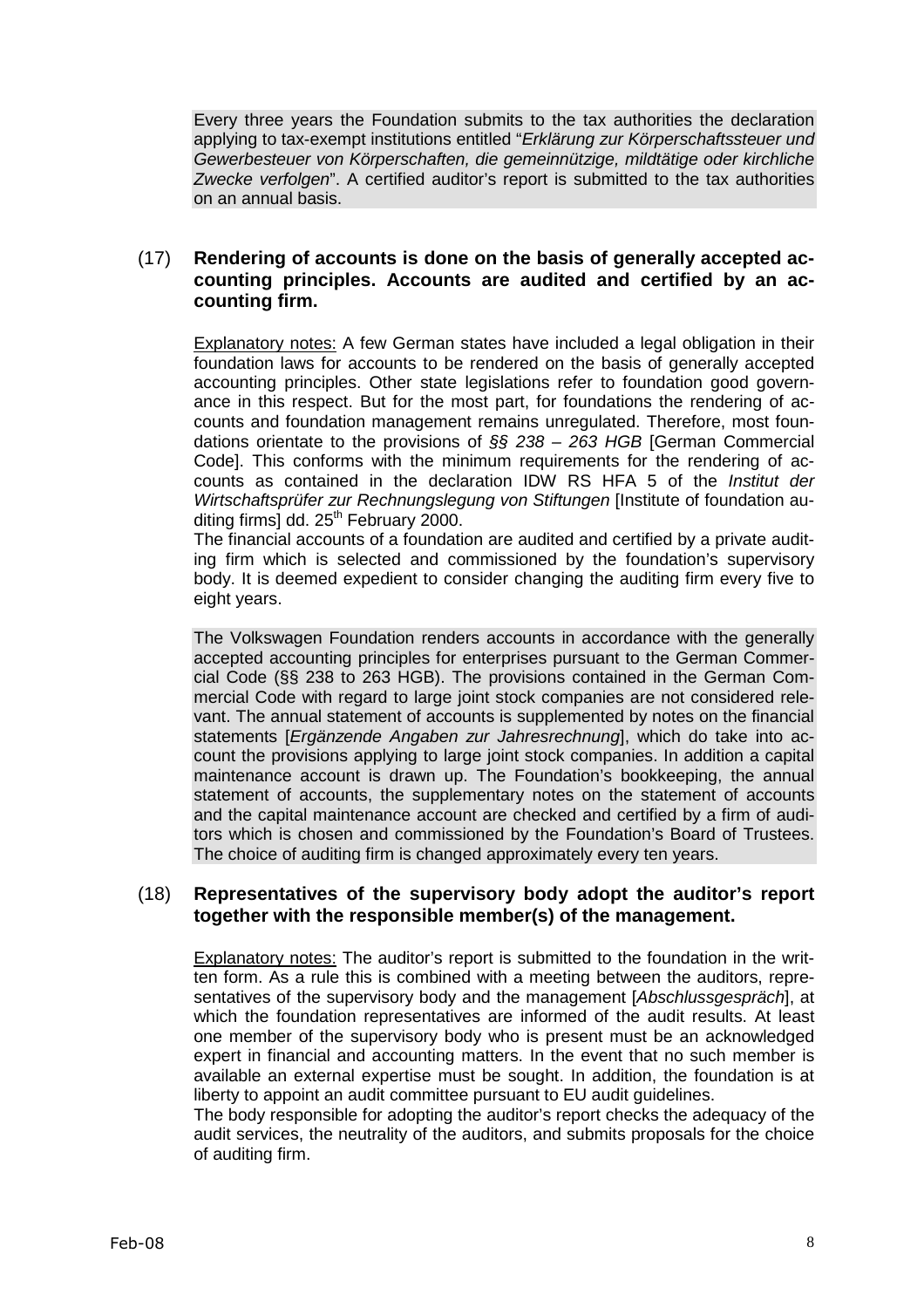Every three years the Foundation submits to the tax authorities the declaration applying to tax-exempt institutions entitled "Erklärung zur Körperschaftssteuer und Gewerbesteuer von Körperschaften, die gemeinnützige, mildtätige oder kirchliche Zwecke verfolgen". A certified auditor's report is submitted to the tax authorities on an annual basis.

# (17) **Rendering of accounts is done on the basis of generally accepted accounting principles. Accounts are audited and certified by an accounting firm.**

Explanatory notes: A few German states have included a legal obligation in their foundation laws for accounts to be rendered on the basis of generally accepted accounting principles. Other state legislations refer to foundation good governance in this respect. But for the most part, for foundations the rendering of accounts and foundation management remains unregulated. Therefore, most foundations orientate to the provisions of  $\S$ § 238 - 263 HGB [German Commercial Code]. This conforms with the minimum requirements for the rendering of accounts as contained in the declaration IDW RS HFA 5 of the Institut der Wirtschaftsprüfer zur Rechnungslegung von Stiftungen [Institute of foundation auditing firms] dd.  $25<sup>th</sup>$  February 2000.

The financial accounts of a foundation are audited and certified by a private auditing firm which is selected and commissioned by the foundation's supervisory body. It is deemed expedient to consider changing the auditing firm every five to eight years.

The Volkswagen Foundation renders accounts in accordance with the generally accepted accounting principles for enterprises pursuant to the German Commercial Code (§§ 238 to 263 HGB). The provisions contained in the German Commercial Code with regard to large joint stock companies are not considered relevant. The annual statement of accounts is supplemented by notes on the financial statements [Ergänzende Angaben zur Jahresrechnung], which do take into account the provisions applying to large joint stock companies. In addition a capital maintenance account is drawn up. The Foundation's bookkeeping, the annual statement of accounts, the supplementary notes on the statement of accounts and the capital maintenance account are checked and certified by a firm of auditors which is chosen and commissioned by the Foundation's Board of Trustees. The choice of auditing firm is changed approximately every ten years.

# (18) **Representatives of the supervisory body adopt the auditor's report together with the responsible member(s) of the management.**

Explanatory notes: The auditor's report is submitted to the foundation in the written form. As a rule this is combined with a meeting between the auditors, representatives of the supervisory body and the management [Abschlussgespräch], at which the foundation representatives are informed of the audit results. At least one member of the supervisory body who is present must be an acknowledged expert in financial and accounting matters. In the event that no such member is available an external expertise must be sought. In addition, the foundation is at liberty to appoint an audit committee pursuant to EU audit guidelines.

The body responsible for adopting the auditor's report checks the adequacy of the audit services, the neutrality of the auditors, and submits proposals for the choice of auditing firm.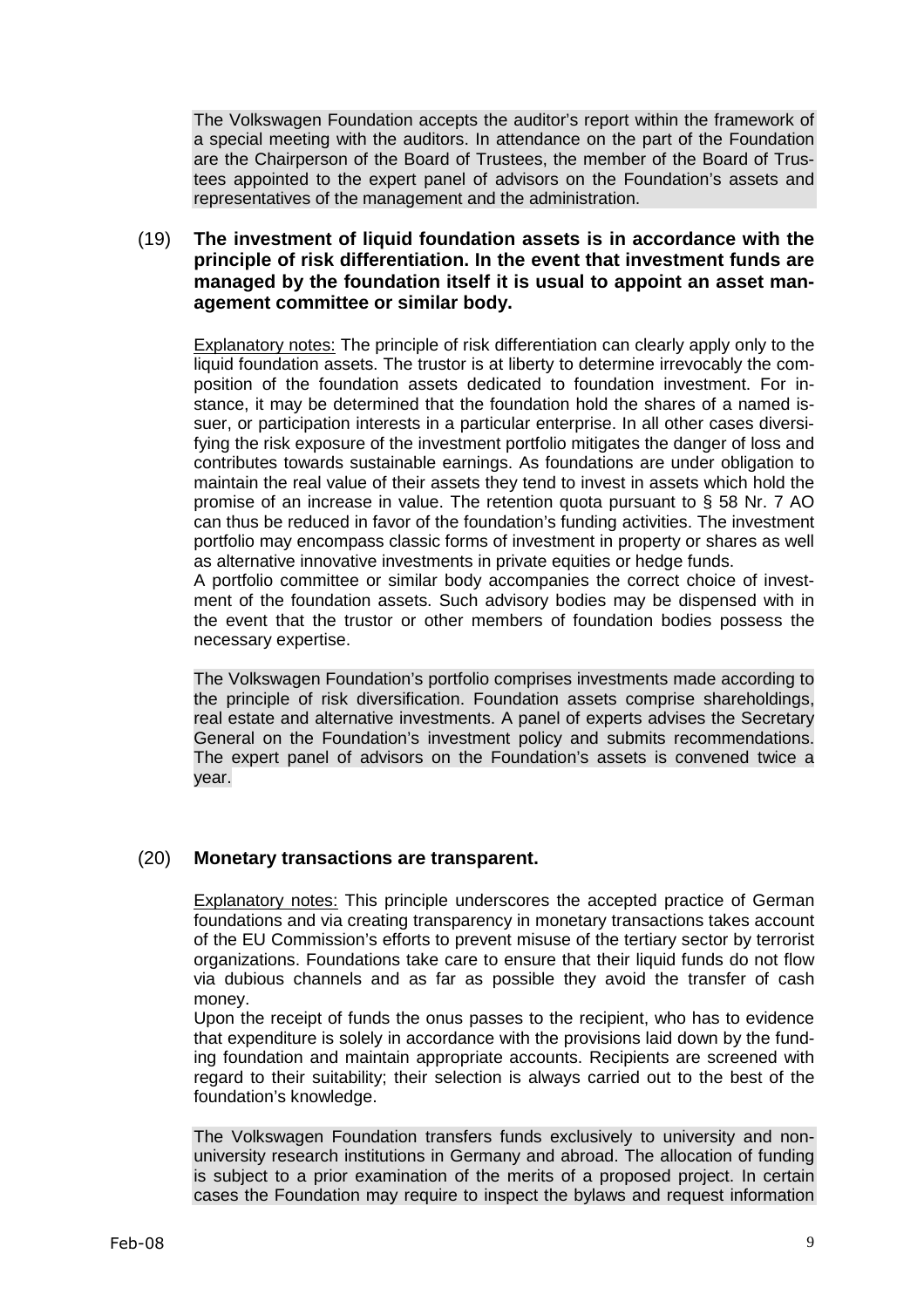The Volkswagen Foundation accepts the auditor's report within the framework of a special meeting with the auditors. In attendance on the part of the Foundation are the Chairperson of the Board of Trustees, the member of the Board of Trustees appointed to the expert panel of advisors on the Foundation's assets and representatives of the management and the administration.

(19) **The investment of liquid foundation assets is in accordance with the principle of risk differentiation. In the event that investment funds are managed by the foundation itself it is usual to appoint an asset management committee or similar body.**

Explanatory notes: The principle of risk differentiation can clearly apply only to the liquid foundation assets. The trustor is at liberty to determine irrevocably the composition of the foundation assets dedicated to foundation investment. For instance, it may be determined that the foundation hold the shares of a named issuer, or participation interests in a particular enterprise. In all other cases diversifying the risk exposure of the investment portfolio mitigates the danger of loss and contributes towards sustainable earnings. As foundations are under obligation to maintain the real value of their assets they tend to invest in assets which hold the promise of an increase in value. The retention quota pursuant to § 58 Nr. 7 AO can thus be reduced in favor of the foundation's funding activities. The investment portfolio may encompass classic forms of investment in property or shares as well as alternative innovative investments in private equities or hedge funds.

A portfolio committee or similar body accompanies the correct choice of investment of the foundation assets. Such advisory bodies may be dispensed with in the event that the trustor or other members of foundation bodies possess the necessary expertise.

The Volkswagen Foundation's portfolio comprises investments made according to the principle of risk diversification. Foundation assets comprise shareholdings, real estate and alternative investments. A panel of experts advises the Secretary General on the Foundation's investment policy and submits recommendations. The expert panel of advisors on the Foundation's assets is convened twice a year.

### (20) **Monetary transactions are transparent.**

Explanatory notes: This principle underscores the accepted practice of German foundations and via creating transparency in monetary transactions takes account of the EU Commission's efforts to prevent misuse of the tertiary sector by terrorist organizations. Foundations take care to ensure that their liquid funds do not flow via dubious channels and as far as possible they avoid the transfer of cash money.

Upon the receipt of funds the onus passes to the recipient, who has to evidence that expenditure is solely in accordance with the provisions laid down by the funding foundation and maintain appropriate accounts. Recipients are screened with regard to their suitability; their selection is always carried out to the best of the foundation's knowledge.

The Volkswagen Foundation transfers funds exclusively to university and nonuniversity research institutions in Germany and abroad. The allocation of funding is subject to a prior examination of the merits of a proposed project. In certain cases the Foundation may require to inspect the bylaws and request information